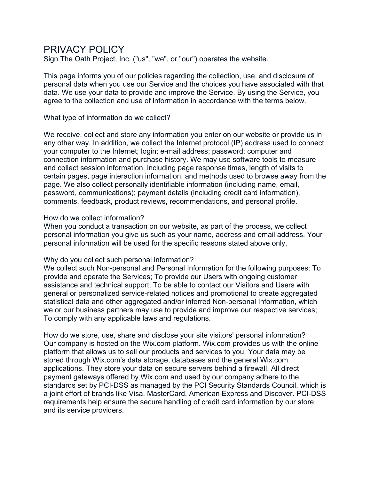# PRIVACY POLICY

Sign The Oath Project, Inc. ("us", "we", or "our") operates the website.

This page informs you of our policies regarding the collection, use, and disclosure of personal data when you use our Service and the choices you have associated with that data. We use your data to provide and improve the Service. By using the Service, you agree to the collection and use of information in accordance with the terms below.

What type of information do we collect?

We receive, collect and store any information you enter on our website or provide us in any other way. In addition, we collect the Internet protocol (IP) address used to connect your computer to the Internet; login; e-mail address; password; computer and connection information and purchase history. We may use software tools to measure and collect session information, including page response times, length of visits to certain pages, page interaction information, and methods used to browse away from the page. We also collect personally identifiable information (including name, email, password, communications); payment details (including credit card information), comments, feedback, product reviews, recommendations, and personal profile.

## How do we collect information?

When you conduct a transaction on our website, as part of the process, we collect personal information you give us such as your name, address and email address. Your personal information will be used for the specific reasons stated above only.

# Why do you collect such personal information?

We collect such Non-personal and Personal Information for the following purposes: To provide and operate the Services; To provide our Users with ongoing customer assistance and technical support; To be able to contact our Visitors and Users with general or personalized service-related notices and promotional to create aggregated statistical data and other aggregated and/or inferred Non-personal Information, which we or our business partners may use to provide and improve our respective services; To comply with any applicable laws and regulations.

How do we store, use, share and disclose your site visitors' personal information? Our company is hosted on the Wix.com platform. Wix.com provides us with the online platform that allows us to sell our products and services to you. Your data may be stored through Wix.com's data storage, databases and the general Wix.com applications. They store your data on secure servers behind a firewall. All direct payment gateways offered by Wix.com and used by our company adhere to the standards set by PCI-DSS as managed by the PCI Security Standards Council, which is a joint effort of brands like Visa, MasterCard, American Express and Discover. PCI-DSS requirements help ensure the secure handling of credit card information by our store and its service providers.